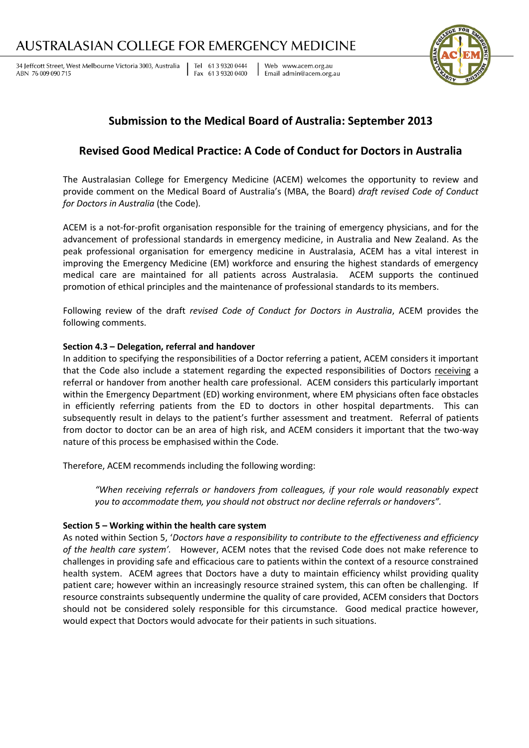# AUSTRALASIAN COLLEGE FOR EMERGENCY MEDICINE

34 Jeffcott Street, West Melbourne Victoria 3003, Australia ABN 76 009 090 715

Tel 61 3 9320 0444 Fax 61 3 9320 0400

Web www.acem.org.au Email admin@acem.org.au



## **Submission to the Medical Board of Australia: September 2013**

### **Revised Good Medical Practice: A Code of Conduct for Doctors in Australia**

The Australasian College for Emergency Medicine (ACEM) welcomes the opportunity to review and provide comment on the Medical Board of Australia's (MBA, the Board) *draft revised Code of Conduct for Doctors in Australia* (the Code)*.* 

ACEM is a not-for-profit organisation responsible for the training of emergency physicians, and for the advancement of professional standards in emergency medicine, in Australia and New Zealand. As the peak professional organisation for emergency medicine in Australasia, ACEM has a vital interest in improving the Emergency Medicine (EM) workforce and ensuring the highest standards of emergency medical care are maintained for all patients across Australasia. ACEM supports the continued promotion of ethical principles and the maintenance of professional standards to its members.

Following review of the draft *revised Code of Conduct for Doctors in Australia*, ACEM provides the following comments.

### **Section 4.3 – Delegation, referral and handover**

In addition to specifying the responsibilities of a Doctor referring a patient, ACEM considers it important that the Code also include a statement regarding the expected responsibilities of Doctors receiving a referral or handover from another health care professional. ACEM considers this particularly important within the Emergency Department (ED) working environment, where EM physicians often face obstacles in efficiently referring patients from the ED to doctors in other hospital departments. This can subsequently result in delays to the patient's further assessment and treatment. Referral of patients from doctor to doctor can be an area of high risk, and ACEM considers it important that the two-way nature of this process be emphasised within the Code.

Therefore, ACEM recommends including the following wording:

*"When receiving referrals or handovers from colleagues, if your role would reasonably expect you to accommodate them, you should not obstruct nor decline referrals or handovers".*

### **Section 5 – Working within the health care system**

As noted within Section 5, '*Doctors have a responsibility to contribute to the effectiveness and efficiency of the health care system'.* However, ACEM notes that the revised Code does not make reference to challenges in providing safe and efficacious care to patients within the context of a resource constrained health system. ACEM agrees that Doctors have a duty to maintain efficiency whilst providing quality patient care; however within an increasingly resource strained system, this can often be challenging. If resource constraints subsequently undermine the quality of care provided, ACEM considers that Doctors should not be considered solely responsible for this circumstance. Good medical practice however, would expect that Doctors would advocate for their patients in such situations.